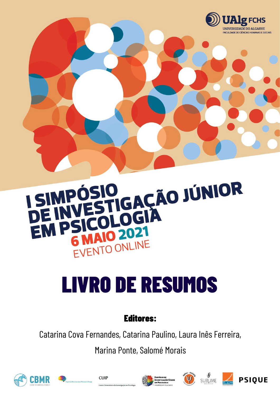

### IO <sub>GAÇÃO</sub> JÚNIOR MP  $\Box$ EM D MAIO 2021 EVENTO ONLINE

# LIVRO DE RESUMOS

## Editores:

Catarina Cova Fernandes, Catarina Paulino, Laura Inês Ferreira,

Marina Ponte, Salomé Morais











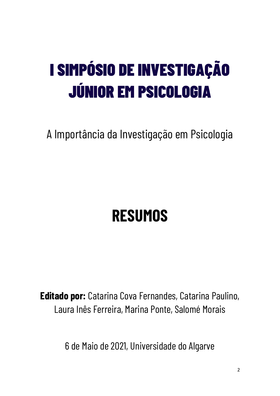## I SIMPÓSIO DE INVESTIGAÇÃO JÚNIOR EM PSICOLOGIA

A Importância da Investigação em Psicologia

## **RESUMOS**

**Editado por:** Catarina Cova Fernandes, Catarina Paulino, Laura Inês Ferreira, Marina Ponte, Salomé Morais

6 de Maio de 2021, Universidade do Algarve